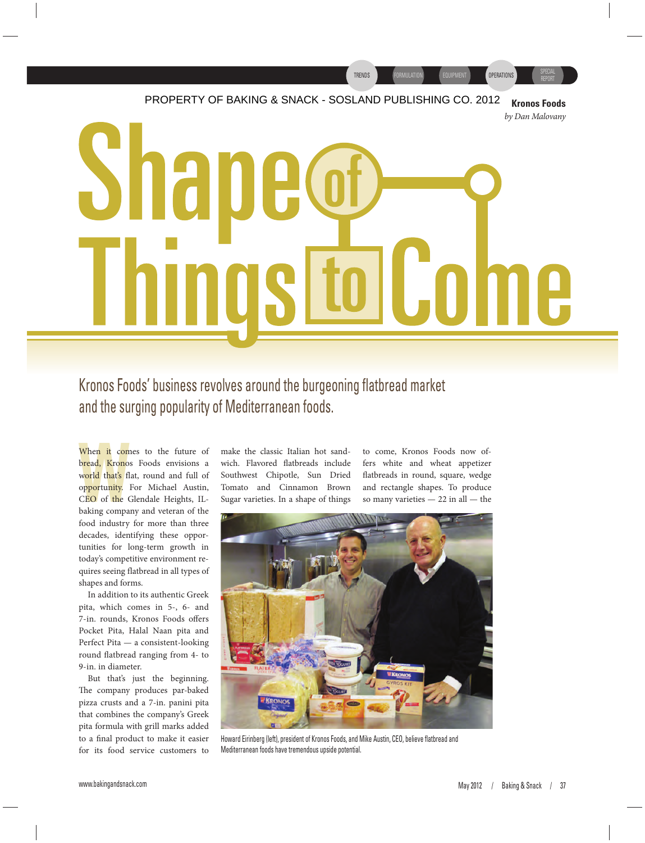# FURMULATION EQUIPMENT POPERATIONS REPORT PROPERTY OF BAKING & SNACK - SOSLAND PUBLISHING CO. 2012 **Kronos Foods** *by Dan Malovany* Shar **Ltol Come** In  $\prod$

Kronos Foods' business revolves around the burgeoning flatbread market and the surging popularity of Mediterranean foods.

bread, Krono<br>world that's fl<br>opportunity.<br>CEO of the G<br>baking compa When it comes to the future of bread, Kronos Foods envisions a world that's flat, round and full of opportunity. For Michael Austin, CEO of the Glendale Heights, ILbaking company and veteran of the food industry for more than three decades, identifying these opportunities for long-term growth in today's competitive environment requires seeing flatbread in all types of shapes and forms.

In addition to its authentic Greek pita, which comes in 5-, 6- and 7-in. rounds, Kronos Foods offers Pocket Pita, Halal Naan pita and Perfect Pita — a consistent-looking round flatbread ranging from 4- to 9-in. in diameter.

But that's just the beginning. The company produces par-baked pizza crusts and a 7-in. panini pita that combines the company's Greek pita formula with grill marks added to a final product to make it easier for its food service customers to make the classic Italian hot sandwich. Flavored flatbreads include Southwest Chipotle, Sun Dried Tomato and Cinnamon Brown Sugar varieties. In a shape of things

to come, Kronos Foods now offers white and wheat appetizer flatbreads in round, square, wedge and rectangle shapes. To produce so many varieties — 22 in all — the

TRENDS FORMULATION EQUIPMENT COPERATIONS



Howard Eirinberg (left), president of Kronos Foods, and Mike Austin, CEO, believe flatbread and Mediterranean foods have tremendous upside potential.

SPECIAL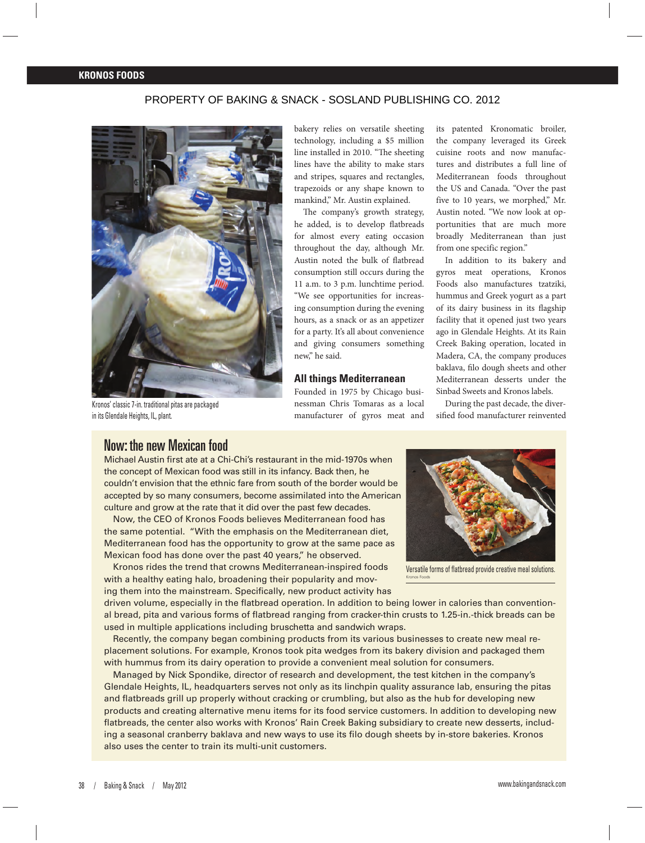#### **KRONOS FOODS**

#### PROPERTY OF BAKING & SNACK - SOSLAND PUBLISHING CO. 2012



Kronos' classic 7-in. traditional pitas are packaged in its Glendale Heights, IL, plant.

bakery relies on versatile sheeting technology, including a \$5 million line installed in 2010. "The sheeting lines have the ability to make stars and stripes, squares and rectangles, trapezoids or any shape known to mankind," Mr. Austin explained.

The company's growth strategy, he added, is to develop flatbreads for almost every eating occasion throughout the day, although Mr. Austin noted the bulk of flatbread consumption still occurs during the 11 a.m. to 3 p.m. lunchtime period. "We see opportunities for increasing consumption during the evening hours, as a snack or as an appetizer for a party. It's all about convenience and giving consumers something new," he said.

#### **All things Mediterranean**

Founded in 1975 by Chicago businessman Chris Tomaras as a local manufacturer of gyros meat and

its patented Kronomatic broiler, the company leveraged its Greek cuisine roots and now manufactures and distributes a full line of Mediterranean foods throughout the US and Canada. "Over the past five to 10 years, we morphed," Mr. Austin noted. "We now look at opportunities that are much more broadly Mediterranean than just from one specific region."

In addition to its bakery and gyros meat operations, Kronos Foods also manufactures tzatziki, hummus and Greek yogurt as a part of its dairy business in its flagship facility that it opened just two years ago in Glendale Heights. At its Rain Creek Baking operation, located in Madera, CA, the company produces baklava, filo dough sheets and other Mediterranean desserts under the Sinbad Sweets and Kronos labels.

During the past decade, the diversified food manufacturer reinvented

## Now: the new Mexican food

Michael Austin first ate at a Chi-Chi's restaurant in the mid-1970s when the concept of Mexican food was still in its infancy. Back then, he couldn't envision that the ethnic fare from south of the border would be accepted by so many consumers, become assimilated into the American culture and grow at the rate that it did over the past few decades.

Now, the CEO of Kronos Foods believes Mediterranean food has the same potential. "With the emphasis on the Mediterranean diet, Mediterranean food has the opportunity to grow at the same pace as Mexican food has done over the past 40 years," he observed.

Kronos rides the trend that crowns Mediterranean-inspired foods with a healthy eating halo, broadening their popularity and moving them into the mainstream. Specifically, new product activity has

driven volume, especially in the flatbread operation. In addition to being lower in calories than conventional bread, pita and various forms of flatbread ranging from cracker-thin crusts to 1.25-in.-thick breads can be used in multiple applications including bruschetta and sandwich wraps.

Recently, the company began combining products from its various businesses to create new meal replacement solutions. For example, Kronos took pita wedges from its bakery division and packaged them with hummus from its dairy operation to provide a convenient meal solution for consumers.

Managed by Nick Spondike, director of research and development, the test kitchen in the company's Glendale Heights, IL, headquarters serves not only as its linchpin quality assurance lab, ensuring the pitas and flatbreads grill up properly without cracking or crumbling, but also as the hub for developing new products and creating alternative menu items for its food service customers. In addition to developing new flatbreads, the center also works with Kronos' Rain Creek Baking subsidiary to create new desserts, including a seasonal cranberry baklava and new ways to use its filo dough sheets by in-store bakeries. Kronos also uses the center to train its multi-unit customers.



Versatile forms of flatbread provide creative meal solutions. Kronos Foods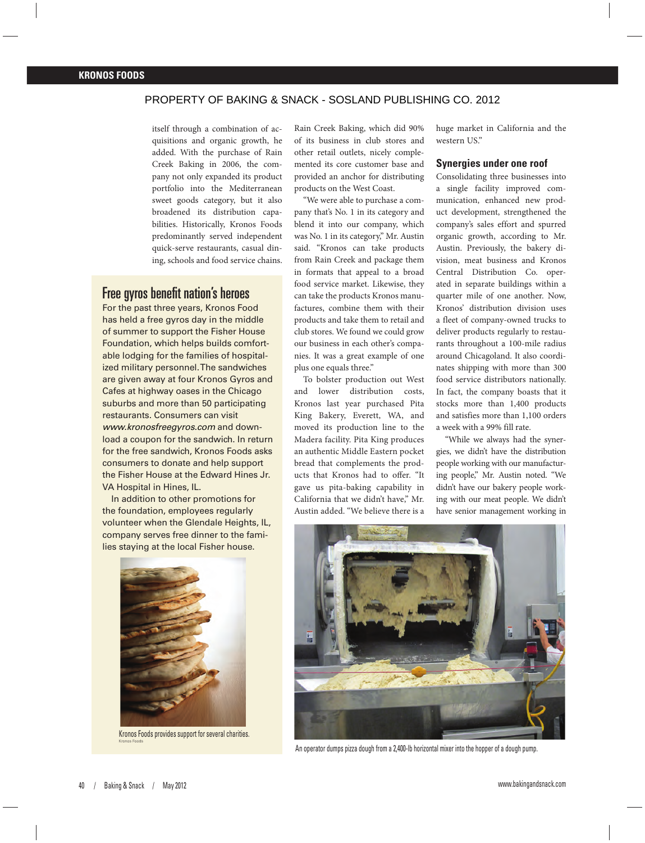## PROPERTY OF BAKING & SNACK - SOSLAND PUBLISHING CO. 2012

itself through a combination of acquisitions and organic growth, he added. With the purchase of Rain Creek Baking in 2006, the company not only expanded its product portfolio into the Mediterranean sweet goods category, but it also broadened its distribution capabilities. Historically, Kronos Foods predominantly served independent quick-serve restaurants, casual dining, schools and food service chains.

## Free gyros benefit nation's heroes

For the past three years, Kronos Food has held a free gyros day in the middle of summer to support the Fisher House Foundation, which helps builds comfortable lodging for the families of hospitalized military personnel. The sandwiches are given away at four Kronos Gyros and Cafes at highway oases in the Chicago suburbs and more than 50 participating restaurants. Consumers can visit www.kronosfreegyros.com and download a coupon for the sandwich. In return for the free sandwich, Kronos Foods asks consumers to donate and help support the Fisher House at the Edward Hines Jr. VA Hospital in Hines, IL.

In addition to other promotions for the foundation, employees regularly volunteer when the Glendale Heights, IL, company serves free dinner to the families staying at the local Fisher house.



Kronos Foods provides support for several charities. Kronos Foods

Rain Creek Baking, which did 90% of its business in club stores and other retail outlets, nicely complemented its core customer base and provided an anchor for distributing products on the West Coast.

"We were able to purchase a company that's No. 1 in its category and blend it into our company, which was No. 1 in its category," Mr. Austin said. "Kronos can take products from Rain Creek and package them in formats that appeal to a broad food service market. Likewise, they can take the products Kronos manufactures, combine them with their products and take them to retail and club stores. We found we could grow our business in each other's companies. It was a great example of one plus one equals three."

To bolster production out West and lower distribution costs, Kronos last year purchased Pita King Bakery, Everett, WA, and moved its production line to the Madera facility. Pita King produces an authentic Middle Eastern pocket bread that complements the products that Kronos had to offer. "It gave us pita-baking capability in California that we didn't have," Mr. Austin added. "We believe there is a

huge market in California and the western US."

#### **Synergies under one roof**

Consolidating three businesses into a single facility improved communication, enhanced new product development, strengthened the company's sales effort and spurred organic growth, according to Mr. Austin. Previously, the bakery division, meat business and Kronos Central Distribution Co. operated in separate buildings within a quarter mile of one another. Now, Kronos' distribution division uses a fleet of company-owned trucks to deliver products regularly to restaurants throughout a 100-mile radius around Chicagoland. It also coordinates shipping with more than 300 food service distributors nationally. In fact, the company boasts that it stocks more than 1,400 products and satisfies more than 1,100 orders a week with a 99% fill rate.

"While we always had the synergies, we didn't have the distribution people working with our manufacturing people," Mr. Austin noted. "We didn't have our bakery people working with our meat people. We didn't have senior management working in



An operator dumps pizza dough from a 2,400-lb horizontal mixer into the hopper of a dough pump.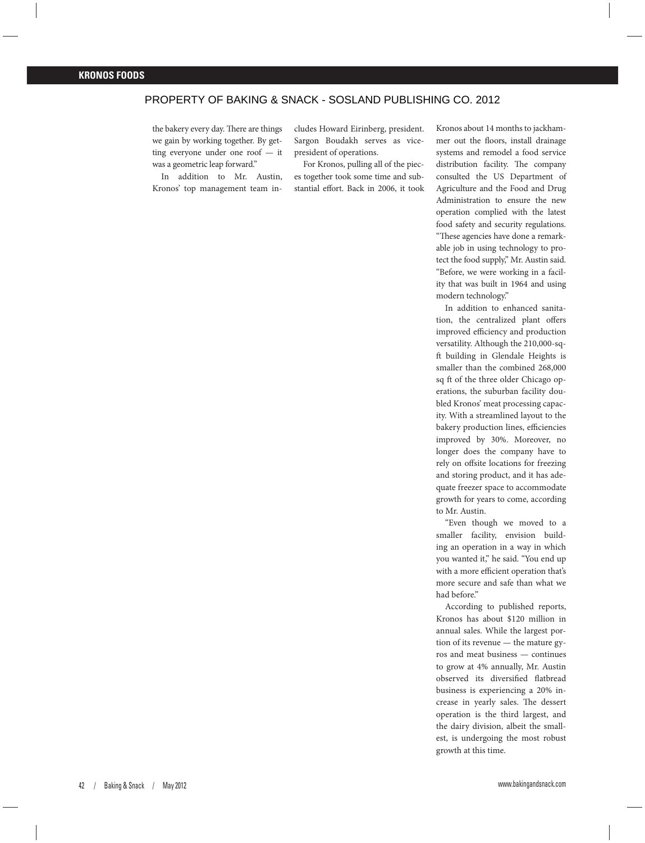## PROPERTY OF BAKING & SNACK - SOSLAND PUBLISHING CO. 2012

the bakery every day. There are things we gain by working together. By getting everyone under one roof — it was a geometric leap forward."

In addition to Mr. Austin, Kronos' top management team in-

cludes Howard Eirinberg, president. Sargon Boudakh serves as vicepresident of operations.

For Kronos, pulling all of the pieces together took some time and substantial effort. Back in 2006, it took Kronos about 14 months to jackhammer out the floors, install drainage systems and remodel a food service distribution facility. The company consulted the US Department of Agriculture and the Food and Drug Administration to ensure the new operation complied with the latest food safety and security regulations. "These agencies have done a remarkable job in using technology to protect the food supply," Mr. Austin said. "Before, we were working in a facility that was built in 1964 and using modern technology."

In addition to enhanced sanitation, the centralized plant offers improved efficiency and production versatility. Although the 210,000-sqft building in Glendale Heights is smaller than the combined 268,000 sq ft of the three older Chicago operations, the suburban facility doubled Kronos' meat processing capacity. With a streamlined layout to the bakery production lines, efficiencies improved by 30%. Moreover, no longer does the company have to rely on offsite locations for freezing and storing product, and it has adequate freezer space to accommodate growth for years to come, according to Mr. Austin.

"Even though we moved to a smaller facility, envision building an operation in a way in which you wanted it," he said. "You end up with a more efficient operation that's more secure and safe than what we had before."

According to published reports, Kronos has about \$120 million in annual sales. While the largest portion of its revenue — the mature gyros and meat business — continues to grow at 4% annually, Mr. Austin observed its diversified flatbread business is experiencing a 20% increase in yearly sales. The dessert operation is the third largest, and the dairy division, albeit the smallest, is undergoing the most robust growth at this time.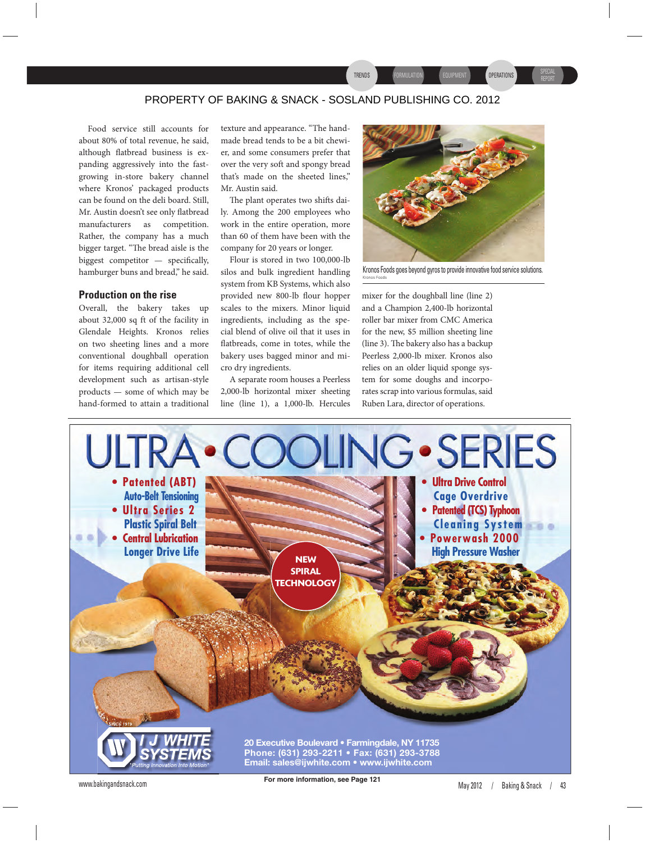## PROPERTY OF BAKING & SNACK - SOSLAND PUBLISHING CO. 2012

Food service still accounts for about 80% of total revenue, he said, although flatbread business is expanding aggressively into the fastgrowing in-store bakery channel where Kronos' packaged products can be found on the deli board. Still, Mr. Austin doesn't see only flatbread manufacturers as competition. Rather, the company has a much bigger target. "The bread aisle is the biggest competitor  $-$  specifically, hamburger buns and bread," he said.

#### **Production on the rise**

Overall, the bakery takes up about 32,000 sq ft of the facility in Glendale Heights. Kronos relies on two sheeting lines and a more conventional doughball operation for items requiring additional cell development such as artisan-style products — some of which may be hand-formed to attain a traditional

texture and appearance. "The handmade bread tends to be a bit chewier, and some consumers prefer that over the very soft and spongy bread that's made on the sheeted lines," Mr. Austin said.

The plant operates two shifts daily. Among the 200 employees who work in the entire operation, more than 60 of them have been with the company for 20 years or longer.

Flour is stored in two 100,000-lb silos and bulk ingredient handling system from KB Systems, which also provided new 800-lb flour hopper scales to the mixers. Minor liquid ingredients, including as the special blend of olive oil that it uses in flatbreads, come in totes, while the bakery uses bagged minor and micro dry ingredients.

A separate room houses a Peerless 2,000-lb horizontal mixer sheeting line (line 1), a 1,000-lb. Hercules



TRENDS FORMULATION EQUIPMENT QUPERATIONS REPORT

SPECIAL

Kronos Foods goes beyond gyros to provide innovative food service solutions. Kronos Foods

mixer for the doughball line (line 2) and a Champion 2,400-lb horizontal roller bar mixer from CMC America for the new, \$5 million sheeting line (line 3). The bakery also has a backup Peerless 2,000-lb mixer. Kronos also relies on an older liquid sponge system for some doughs and incorporates scrap into various formulas, said Ruben Lara, director of operations.

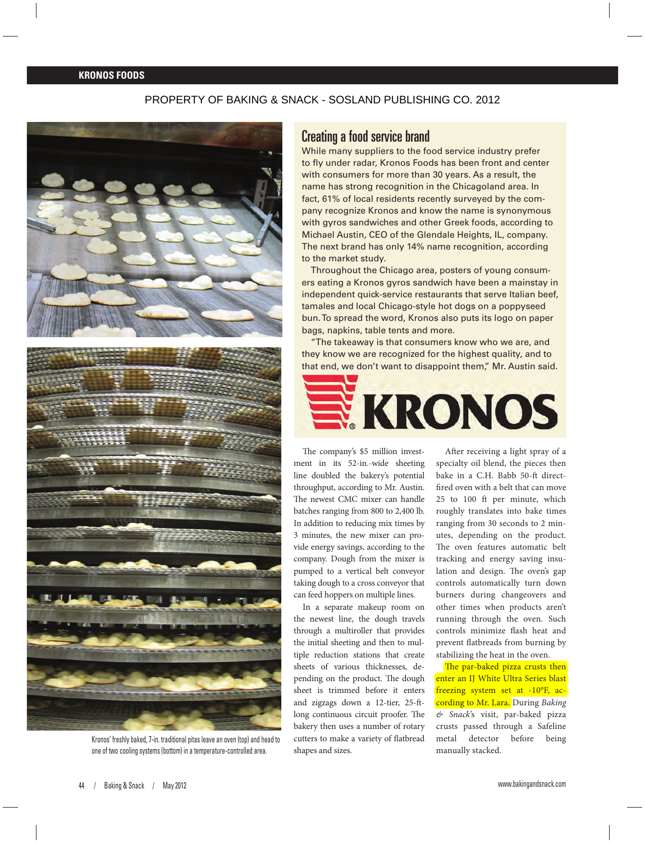#### **KRONOS FOODS**

## PROPERTY OF BAKING & SNACK - SOSLAND PUBLISHING CO. 2012



Kronos' freshly baked, 7-in. traditional pitas leave an oven (top) and head to one of two cooling systems (bottom) in a temperature-controlled area.

## Creating a food service brand

While many suppliers to the food service industry prefer to fly under radar, Kronos Foods has been front and center with consumers for more than 30 years. As a result, the name has strong recognition in the Chicagoland area. In fact, 61% of local residents recently surveyed by the company recognize Kronos and know the name is synonymous with gyros sandwiches and other Greek foods, according to Michael Austin, CEO of the Glendale Heights, IL, company. The next brand has only 14% name recognition, according to the market study.

Throughout the Chicago area, posters of young consumers eating a Kronos gyros sandwich have been a mainstay in independent quick-service restaurants that serve Italian beef, tamales and local Chicago-style hot dogs on a poppyseed bun. To spread the word, Kronos also puts its logo on paper bags, napkins, table tents and more.

"The takeaway is that consumers know who we are, and they know we are recognized for the highest quality, and to that end, we don't want to disappoint them," Mr. Austin said.



The company's \$5 million investment in its 52-in.-wide sheeting line doubled the bakery's potential throughput, according to Mr. Austin. The newest CMC mixer can handle batches ranging from 800 to 2,400 lb. In addition to reducing mix times by 3 minutes, the new mixer can provide energy savings, according to the company. Dough from the mixer is pumped to a vertical belt conveyor taking dough to a cross conveyor that can feed hoppers on multiple lines.

In a separate makeup room on the newest line, the dough travels through a multiroller that provides the initial sheeting and then to multiple reduction stations that create sheets of various thicknesses, depending on the product. The dough sheet is trimmed before it enters and zigzags down a 12-tier, 25-ftlong continuous circuit proofer. The bakery then uses a number of rotary cutters to make a variety of flatbread shapes and sizes.

After receiving a light spray of a specialty oil blend, the pieces then bake in a C.H. Babb 50-ft directfired oven with a belt that can move 25 to 100 ft per minute, which roughly translates into bake times ranging from 30 seconds to 2 minutes, depending on the product. The oven features automatic belt tracking and energy saving insulation and design. The oven's gap controls automatically turn down burners during changeovers and other times when products aren't running through the oven. Such controls minimize flash heat and prevent flatbreads from burning by stabilizing the heat in the oven.

The par-baked pizza crusts then enter an IJ White Ultra Series blast freezing system set at -10°F, according to Mr. Lara. During *Baking & Snack*'s visit, par-baked pizza crusts passed through a Safeline metal detector before being manually stacked.